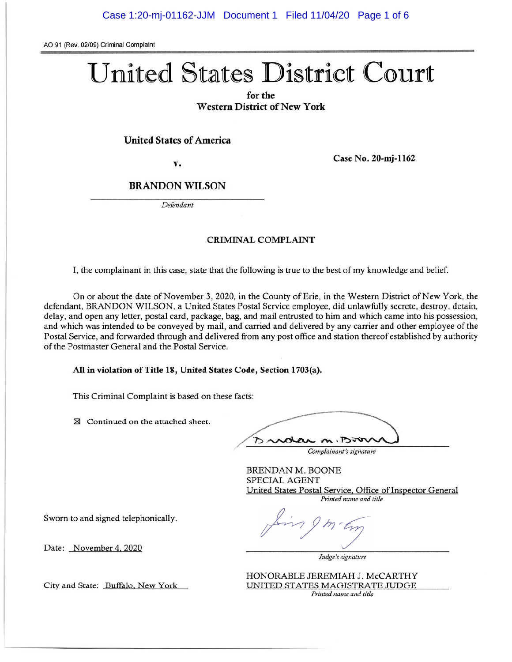AO 91 (Rev. 02/09) Criminal Complaint

# United States District Court

for the **Western District of New York** 

#### **United States of America**

v.

Case No. 20-mi-1162

## **BRANDON WILSON**

Defendant

#### **CRIMINAL COMPLAINT**

I, the complainant in this case, state that the following is true to the best of my knowledge and belief.

On or about the date of November 3, 2020, in the County of Erie, in the Western District of New York, the defendant, BRANDON WILSON, a United States Postal Service employee, did unlawfully secrete, destroy, detain, delay, and open any letter, postal card, package, bag, and mail entrusted to him and which came into his possession, and which was intended to be conveyed by mail, and carried and delivered by any carrier and other employee of the Postal Service, and forwarded through and delivered from any post office and station thereof established by authority of the Postmaster General and the Postal Service.

All in violation of Title 18, United States Code, Section 1703(a).

This Criminal Complaint is based on these facts:

⊠ Continued on the attached sheet.

 $m \cdot 1250$ 

Complainant's signature

**BRENDAN M. BOONE** SPECIAL AGENT United States Postal Service, Office of Inspector General Printed name and title

Sworn to and signed telephonically.

Date: November 4, 2020

Judge's signature

HONORABLE JEREMIAH J. McCARTHY UNITED STATES MAGISTRATE JUDGE Printed name and title

City and State: Buffalo, New York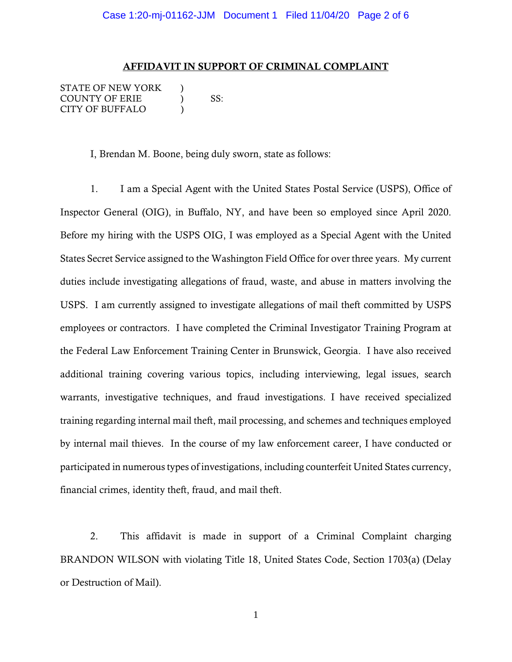#### AFFIDAVIT IN SUPPORT OF CRIMINAL COMPLAINT

STATE OF NEW YORK ) COUNTY OF ERIE  $\qquad$  ) SS: CITY OF BUFFALO )

I, Brendan M. Boone, being duly sworn, state as follows:

1. I am a Special Agent with the United States Postal Service (USPS), Office of Inspector General (OIG), in Buffalo, NY, and have been so employed since April 2020. Before my hiring with the USPS OIG, I was employed as a Special Agent with the United States Secret Service assigned to the Washington Field Office for over three years. My current duties include investigating allegations of fraud, waste, and abuse in matters involving the USPS. I am currently assigned to investigate allegations of mail theft committed by USPS employees or contractors. I have completed the Criminal Investigator Training Program at the Federal Law Enforcement Training Center in Brunswick, Georgia. I have also received additional training covering various topics, including interviewing, legal issues, search warrants, investigative techniques, and fraud investigations. I have received specialized training regarding internal mail theft, mail processing, and schemes and techniques employed by internal mail thieves. In the course of my law enforcement career, I have conducted or participated in numerous types of investigations, including counterfeit United States currency, financial crimes, identity theft, fraud, and mail theft.

2. This affidavit is made in support of a Criminal Complaint charging BRANDON WILSON with violating Title 18, United States Code, Section 1703(a) (Delay or Destruction of Mail).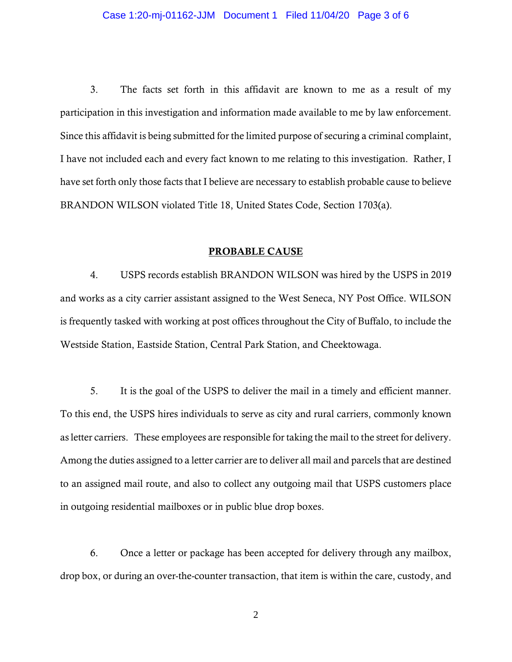#### Case 1:20-mj-01162-JJM Document 1 Filed 11/04/20 Page 3 of 6

3. The facts set forth in this affidavit are known to me as a result of my participation in this investigation and information made available to me by law enforcement. Since this affidavit is being submitted for the limited purpose of securing a criminal complaint, I have not included each and every fact known to me relating to this investigation. Rather, I have set forth only those facts that I believe are necessary to establish probable cause to believe BRANDON WILSON violated Title 18, United States Code, Section 1703(a).

### PROBABLE CAUSE

4. USPS records establish BRANDON WILSON was hired by the USPS in 2019 and works as a city carrier assistant assigned to the West Seneca, NY Post Office. WILSON is frequently tasked with working at post offices throughout the City of Buffalo, to include the Westside Station, Eastside Station, Central Park Station, and Cheektowaga.

5. It is the goal of the USPS to deliver the mail in a timely and efficient manner. To this end, the USPS hires individuals to serve as city and rural carriers, commonly known as letter carriers. These employees are responsible for taking the mail to the street for delivery. Among the duties assigned to a letter carrier are to deliver all mail and parcels that are destined to an assigned mail route, and also to collect any outgoing mail that USPS customers place in outgoing residential mailboxes or in public blue drop boxes.

6. Once a letter or package has been accepted for delivery through any mailbox, drop box, or during an over-the-counter transaction, that item is within the care, custody, and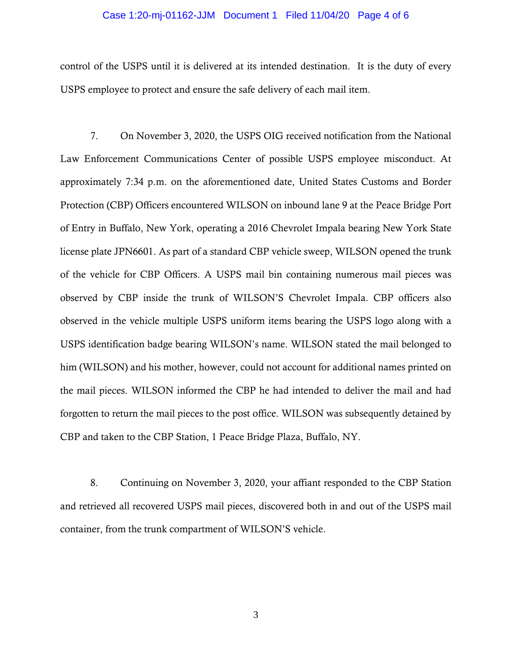#### Case 1:20-mj-01162-JJM Document 1 Filed 11/04/20 Page 4 of 6

control of the USPS until it is delivered at its intended destination. It is the duty of every USPS employee to protect and ensure the safe delivery of each mail item.

7. On November 3, 2020, the USPS OIG received notification from the National Law Enforcement Communications Center of possible USPS employee misconduct. At approximately 7:34 p.m. on the aforementioned date, United States Customs and Border Protection (CBP) Officers encountered WILSON on inbound lane 9 at the Peace Bridge Port of Entry in Buffalo, New York, operating a 2016 Chevrolet Impala bearing New York State license plate JPN6601. As part of a standard CBP vehicle sweep, WILSON opened the trunk of the vehicle for CBP Officers. A USPS mail bin containing numerous mail pieces was observed by CBP inside the trunk of WILSON'S Chevrolet Impala. CBP officers also observed in the vehicle multiple USPS uniform items bearing the USPS logo along with a USPS identification badge bearing WILSON's name. WILSON stated the mail belonged to him (WILSON) and his mother, however, could not account for additional names printed on the mail pieces. WILSON informed the CBP he had intended to deliver the mail and had forgotten to return the mail pieces to the post office. WILSON was subsequently detained by CBP and taken to the CBP Station, 1 Peace Bridge Plaza, Buffalo, NY.

 8. Continuing on November 3, 2020, your affiant responded to the CBP Station and retrieved all recovered USPS mail pieces, discovered both in and out of the USPS mail container, from the trunk compartment of WILSON'S vehicle.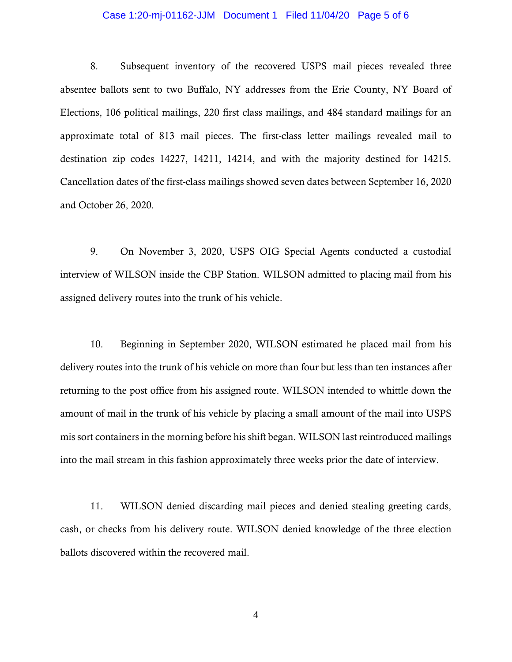#### Case 1:20-mj-01162-JJM Document 1 Filed 11/04/20 Page 5 of 6

8. Subsequent inventory of the recovered USPS mail pieces revealed three absentee ballots sent to two Buffalo, NY addresses from the Erie County, NY Board of Elections, 106 political mailings, 220 first class mailings, and 484 standard mailings for an approximate total of 813 mail pieces. The first-class letter mailings revealed mail to destination zip codes 14227, 14211, 14214, and with the majority destined for 14215. Cancellation dates of the first-class mailings showed seven dates between September 16, 2020 and October 26, 2020.

9. On November 3, 2020, USPS OIG Special Agents conducted a custodial interview of WILSON inside the CBP Station. WILSON admitted to placing mail from his assigned delivery routes into the trunk of his vehicle.

10. Beginning in September 2020, WILSON estimated he placed mail from his delivery routes into the trunk of his vehicle on more than four but less than ten instances after returning to the post office from his assigned route. WILSON intended to whittle down the amount of mail in the trunk of his vehicle by placing a small amount of the mail into USPS mis sort containers in the morning before his shift began. WILSON last reintroduced mailings into the mail stream in this fashion approximately three weeks prior the date of interview.

11. WILSON denied discarding mail pieces and denied stealing greeting cards, cash, or checks from his delivery route. WILSON denied knowledge of the three election ballots discovered within the recovered mail.